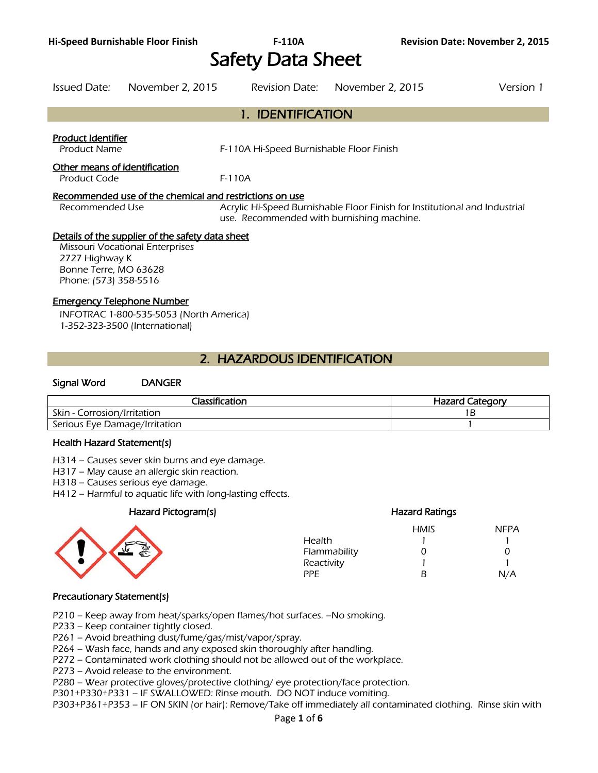# Safety Data Sheet

Issued Date: November 2, 2015 Revision Date: November 2, 2015 Version 1

|                                                                                                                                                         | 1. IDENTIFICATION                                                                                                       |
|---------------------------------------------------------------------------------------------------------------------------------------------------------|-------------------------------------------------------------------------------------------------------------------------|
| <b>Product Identifier</b><br><b>Product Name</b>                                                                                                        | F-110A Hi-Speed Burnishable Floor Finish                                                                                |
| Other means of identification<br>Product Code                                                                                                           | $F-110A$                                                                                                                |
| Recommended use of the chemical and restrictions on use<br>Recommended Use                                                                              | Acrylic Hi-Speed Burnishable Floor Finish for Institutional and Industrial<br>use. Recommended with burnishing machine. |
| Details of the supplier of the safety data sheet<br>Missouri Vocational Enterprises<br>2727 Highway K<br>Bonne Terre, MO 63628<br>Phone: (573) 358-5516 |                                                                                                                         |
| <b>Emergency Telephone Number</b><br>INFOTRAC 1-800-535-5053 (North America)<br>1-352-323-3500 (International)                                          |                                                                                                                         |
|                                                                                                                                                         | 2. HAZARDOUS IDENTIFICATION                                                                                             |
| Sianal Word<br><b>DANGER</b>                                                                                                                            |                                                                                                                         |

## Classification **Hazard Category Hazard Category** Skin - Corrosion/Irritation 1B Serious Eye Damage/Irritation 1

#### Health Hazard Statement(s)

H314 – Causes sever skin burns and eye damage.

H317 – May cause an allergic skin reaction.

H318 – Causes serious eye damage.

H412 – Harmful to aquatic life with long-lasting effects.

## Hazard Pictogram(s) extending the extending Hazard Ratings



|              | <b>HMIS</b> | <b>NFPA</b>  |
|--------------|-------------|--------------|
| Health       |             |              |
| Flammability | 0           | $\mathbf{I}$ |
| Reactivity   |             |              |
| PPF.         | R           | N/A          |
|              |             |              |

## Precautionary Statement(s)

P210 – Keep away from heat/sparks/open flames/hot surfaces. –No smoking.

P233 – Keep container tightly closed.

P261 – Avoid breathing dust/fume/gas/mist/vapor/spray.

P264 – Wash face, hands and any exposed skin thoroughly after handling.

P272 – Contaminated work clothing should not be allowed out of the workplace.

P273 – Avoid release to the environment.

P280 – Wear protective gloves/protective clothing/ eye protection/face protection.

P301+P330+P331 – IF SWALLOWED: Rinse mouth. DO NOT induce vomiting.

P303+P361+P353 – IF ON SKIN (or hair): Remove/Take off immediately all contaminated clothing. Rinse skin with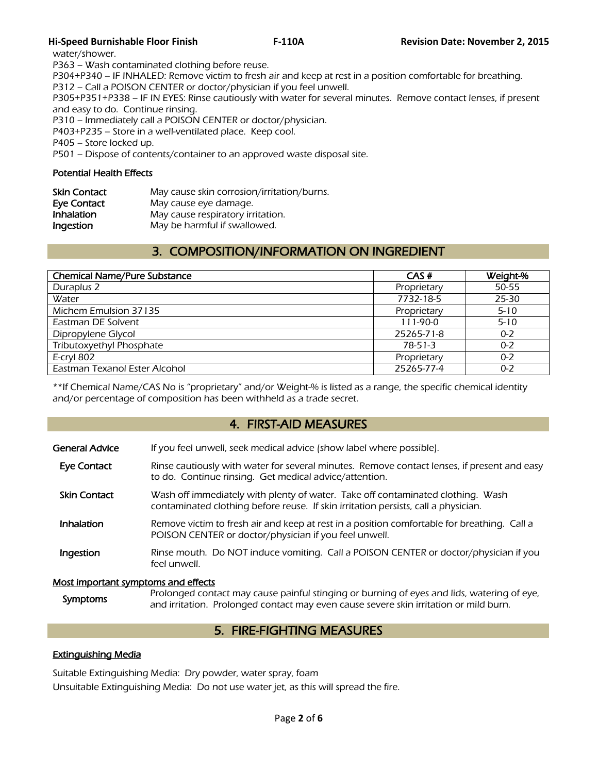## **Hi-Speed Burnishable Floor Finish F-110A Revision Date: November 2, 2015**

water/shower.

P363 – Wash contaminated clothing before reuse.

P304+P340 – IF INHALED: Remove victim to fresh air and keep at rest in a position comfortable for breathing.

P312 – Call a POISON CENTER or doctor/physician if you feel unwell.

P305+P351+P338 – IF IN EYES: Rinse cautiously with water for several minutes. Remove contact lenses, if present and easy to do. Continue rinsing.

P310 – Immediately call a POISON CENTER or doctor/physician.

P403+P235 – Store in a well-ventilated place. Keep cool.

P405 – Store locked up.

P501 – Dispose of contents/container to an approved waste disposal site.

## Potential Health Effects

| May cause skin corrosion/irritation/burns. |
|--------------------------------------------|
| May cause eye damage.                      |
| May cause respiratory irritation.          |
| May be harmful if swallowed.               |
|                                            |

## 3. COMPOSITION/INFORMATION ON INGREDIENT

| <b>Chemical Name/Pure Substance</b> | CAS#        | Weight-% |
|-------------------------------------|-------------|----------|
| Duraplus 2                          | Proprietary | 50-55    |
| Water                               | 7732-18-5   | 25-30    |
| Michem Emulsion 37135               | Proprietary | $5 - 10$ |
| Eastman DE Solvent                  | 111-90-0    | $5 - 10$ |
| Dipropylene Glycol                  | 25265-71-8  | $0 - 2$  |
| Tributoxyethyl Phosphate            | $78-51-3$   | $0 - 2$  |
| E-cryl 802                          | Proprietary | $0 - 2$  |
| Eastman Texanol Ester Alcohol       | 25265-77-4  | $0 - 2$  |

\*\*If Chemical Name/CAS No is "proprietary" and/or Weight-% is listed as a range, the specific chemical identity and/or percentage of composition has been withheld as a trade secret.

## 4. FIRST-AID MEASURES

| <b>General Advice</b>                                  | If you feel unwell, seek medical advice (show label where possible).                                                                                                  |
|--------------------------------------------------------|-----------------------------------------------------------------------------------------------------------------------------------------------------------------------|
| <b>Eye Contact</b>                                     | Rinse cautiously with water for several minutes. Remove contact lenses, if present and easy<br>to do. Continue rinsing. Get medical advice/attention.                 |
| <b>Skin Contact</b>                                    | Wash off immediately with plenty of water. Take off contaminated clothing. Wash<br>contaminated clothing before reuse. If skin irritation persists, call a physician. |
| Inhalation                                             | Remove victim to fresh air and keep at rest in a position comfortable for breathing. Call a<br>POISON CENTER or doctor/physician if you feel unwell.                  |
| Ingestion                                              | Rinse mouth. Do NOT induce vomiting. Call a POISON CENTER or doctor/physician if you<br>feel unwell.                                                                  |
| h da an tura a chaich ar conaine crea a co-d-a Chaiche |                                                                                                                                                                       |

#### Most important symptoms and effects

Symptoms Prolonged contact may cause painful stinging or burning of eyes and lids, watering of eye,<br>Symptoms and irritation. Prolonged contact may over saves soves skip irritation or mild burn and irritation. Prolonged contact may even cause severe skin irritation or mild burn.

## 5. FIRE-FIGHTING MEASURES

## Extinguishing Media

Suitable Extinguishing Media: Dry powder, water spray, foam

Unsuitable Extinguishing Media: Do not use water jet, as this will spread the fire.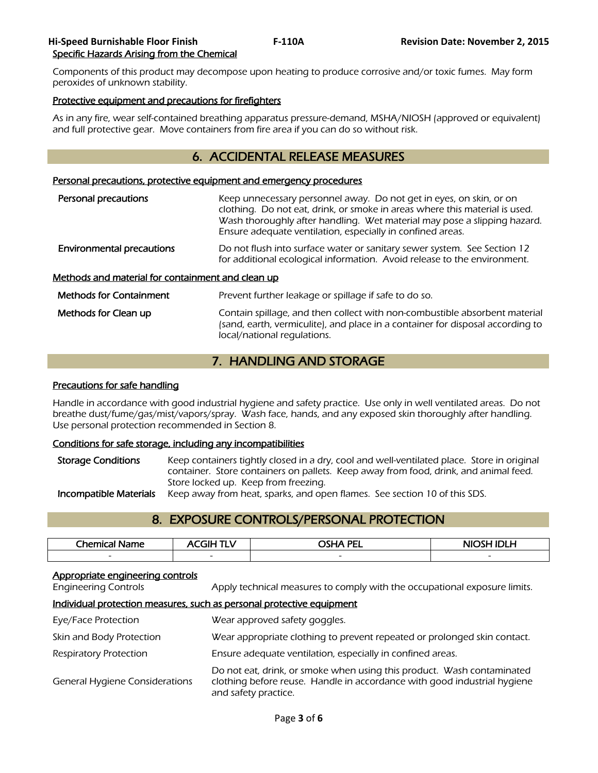## **Hi-Speed Burnishable Floor Finish F-110A Revision Date: November 2, 2015**  Specific Hazards Arising from the Chemical

Components of this product may decompose upon heating to produce corrosive and/or toxic fumes. May form peroxides of unknown stability.

## Protective equipment and precautions for firefighters

As in any fire, wear self-contained breathing apparatus pressure-demand, MSHA/NIOSH (approved or equivalent) and full protective gear. Move containers from fire area if you can do so without risk.

## 6. ACCIDENTAL RELEASE MEASURES

#### Personal precautions, protective equipment and emergency procedures

| Personal precautions                              | Keep unnecessary personnel away. Do not get in eyes, on skin, or on<br>clothing. Do not eat, drink, or smoke in areas where this material is used.<br>Wash thoroughly after handling. Wet material may pose a slipping hazard.<br>Ensure adequate ventilation, especially in confined areas. |  |
|---------------------------------------------------|----------------------------------------------------------------------------------------------------------------------------------------------------------------------------------------------------------------------------------------------------------------------------------------------|--|
| <b>Environmental precautions</b>                  | Do not flush into surface water or sanitary sewer system. See Section 12<br>for additional ecological information. Avoid release to the environment.                                                                                                                                         |  |
| Methods and material for containment and clean up |                                                                                                                                                                                                                                                                                              |  |
| <b>Methods for Containment</b>                    | Prevent further leakage or spillage if safe to do so.                                                                                                                                                                                                                                        |  |
| Methods for Clean up                              | Contain spillage, and then collect with non-combustible absorbent material<br>(sand, earth, vermiculite), and place in a container for disposal according to<br>local/national regulations.                                                                                                  |  |

## 7. HANDLING AND STORAGE

#### Precautions for safe handling

Handle in accordance with good industrial hygiene and safety practice. Use only in well ventilated areas. Do not breathe dust/fume/gas/mist/vapors/spray. Wash face, hands, and any exposed skin thoroughly after handling. Use personal protection recommended in Section 8.

## Conditions for safe storage, including any incompatibilities

Storage Conditions Keep containers tightly closed in a dry, cool and well-ventilated place. Store in original container. Store containers on pallets. Keep away from food, drink, and animal feed. Store locked up. Keep from freezing. **Incompatible Materials** Keep away from heat, sparks, and open flames. See section 10 of this SDS.

## 8. EXPOSURE CONTROLS/PERSONAL PROTECTION

| Chemical<br>ane          | .<br>GIP<br>nι           | <b>OSHA PEI</b><br>CL. | NIOSH IDI H              |
|--------------------------|--------------------------|------------------------|--------------------------|
| $\overline{\phantom{0}}$ | $\overline{\phantom{0}}$ | -                      | $\overline{\phantom{a}}$ |
|                          |                          |                        |                          |

#### Appropriate engineering controls

Engineering Controls Apply technical measures to comply with the occupational exposure limits.

#### Individual protection measures, such as personal protective equipment

| Eye/Face Protection                   | Wear approved safety goggles.                                                                                                                                              |
|---------------------------------------|----------------------------------------------------------------------------------------------------------------------------------------------------------------------------|
| Skin and Body Protection              | Wear appropriate clothing to prevent repeated or prolonged skin contact.                                                                                                   |
| Respiratory Protection                | Ensure adequate ventilation, especially in confined areas.                                                                                                                 |
| <b>General Hygiene Considerations</b> | Do not eat, drink, or smoke when using this product. Wash contaminated<br>clothing before reuse. Handle in accordance with good industrial hygiene<br>and safety practice. |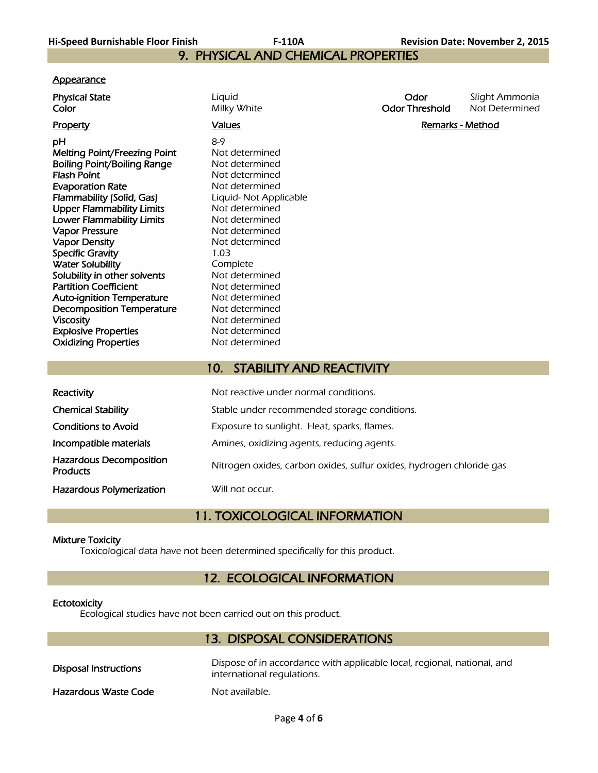9. PHYSICAL AND CHEMICAL PROPERTIES

### **A**ppearance

| <u>.,,,,,,,,,,,</u>                                                                                                                                                                                                                                                                                                                                                                                                                                                                                                                                             |                           |                                                                                                                                                                                                                                                                                                      |                               |                                  |
|-----------------------------------------------------------------------------------------------------------------------------------------------------------------------------------------------------------------------------------------------------------------------------------------------------------------------------------------------------------------------------------------------------------------------------------------------------------------------------------------------------------------------------------------------------------------|---------------------------|------------------------------------------------------------------------------------------------------------------------------------------------------------------------------------------------------------------------------------------------------------------------------------------------------|-------------------------------|----------------------------------|
| <b>Physical State</b><br>Color                                                                                                                                                                                                                                                                                                                                                                                                                                                                                                                                  | Liquid                    | Milky White                                                                                                                                                                                                                                                                                          | Odor<br><b>Odor Threshold</b> | Slight Ammonia<br>Not Determined |
| <b>Property</b>                                                                                                                                                                                                                                                                                                                                                                                                                                                                                                                                                 | <b>Values</b>             |                                                                                                                                                                                                                                                                                                      | <b>Remarks - Method</b>       |                                  |
| рH<br><b>Melting Point/Freezing Point</b><br><b>Boiling Point/Boiling Range</b><br><b>Flash Point</b><br><b>Evaporation Rate</b><br>Flammability (Solid, Gas)<br><b>Upper Flammability Limits</b><br>Lower Flammability Limits<br><b>Vapor Pressure</b><br><b>Vapor Density</b><br><b>Specific Gravity</b><br><b>Water Solubility</b><br>Solubility in other solvents<br><b>Partition Coefficient</b><br><b>Auto-ignition Temperature</b><br><b>Decomposition Temperature</b><br><b>Viscosity</b><br><b>Explosive Properties</b><br><b>Oxidizing Properties</b> | $8-9$<br>1.03<br>Complete | Not determined<br>Not determined<br>Not determined<br>Not determined<br>Liquid- Not Applicable<br>Not determined<br>Not determined<br>Not determined<br>Not determined<br>Not determined<br>Not determined<br>Not determined<br>Not determined<br>Not determined<br>Not determined<br>Not determined |                               |                                  |
|                                                                                                                                                                                                                                                                                                                                                                                                                                                                                                                                                                 | 10.                       | <b>STABILITY AND REACTIVITY</b>                                                                                                                                                                                                                                                                      |                               |                                  |
|                                                                                                                                                                                                                                                                                                                                                                                                                                                                                                                                                                 |                           |                                                                                                                                                                                                                                                                                                      |                               |                                  |

| Reactivity                                        | Not reactive under normal conditions.                                |  |
|---------------------------------------------------|----------------------------------------------------------------------|--|
| <b>Chemical Stability</b>                         | Stable under recommended storage conditions.                         |  |
| <b>Conditions to Avoid</b>                        | Exposure to sunlight. Heat, sparks, flames.                          |  |
| Incompatible materials                            | Amines, oxidizing agents, reducing agents.                           |  |
| <b>Hazardous Decomposition</b><br><b>Products</b> | Nitrogen oxides, carbon oxides, sulfur oxides, hydrogen chloride gas |  |
| <b>Hazardous Polymerization</b>                   | Will not occur.                                                      |  |

# 11. TOXICOLOGICAL INFORMATION

## Mixture Toxicity

I

Toxicological data have not been determined specifically for this product.

# 12. ECOLOGICAL INFORMATION

## **Ectotoxicity**

Ecological studies have not been carried out on this product.

# 13. DISPOSAL CONSIDERATIONS

| Disposal Instructions | Dispose of in accordance with applicable local, regional, national, and<br>international regulations. |
|-----------------------|-------------------------------------------------------------------------------------------------------|
| Hazardous Waste Code  | Not available.                                                                                        |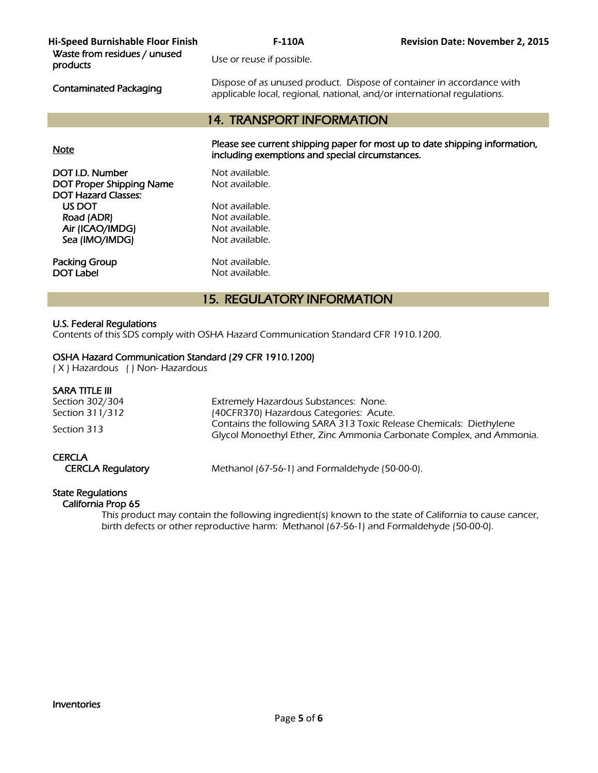| Hi-Speed Burnishable Floor Finish        | <b>F-110A</b>                                                                                                                                    | <b>Revision Date: November 2, 2015</b> |
|------------------------------------------|--------------------------------------------------------------------------------------------------------------------------------------------------|----------------------------------------|
| Waste from residues / unused<br>products | Use or reuse if possible.                                                                                                                        |                                        |
| <b>Contaminated Packaging</b>            | Dispose of as unused product. Dispose of container in accordance with<br>applicable local, regional, national, and/or international regulations. |                                        |
|                                          | <b>14. TRANSPORT INFORMATION</b>                                                                                                                 |                                        |
|                                          |                                                                                                                                                  |                                        |
| <b>Note</b>                              | Please see current shipping paper for most up to date shipping information,<br>including exemptions and special circumstances.                   |                                        |
| DOT I.D. Number                          | Not available.                                                                                                                                   |                                        |
| <b>DOT Proper Shipping Name</b>          | Not available.                                                                                                                                   |                                        |
| <b>DOT Hazard Classes:</b>               |                                                                                                                                                  |                                        |
| US DOT                                   | Not available.                                                                                                                                   |                                        |
| Road (ADR)                               | Not available.                                                                                                                                   |                                        |
| Air (ICAO/IMDG)                          | Not available.                                                                                                                                   |                                        |
| Sea (IMO/IMDG)                           | Not available.                                                                                                                                   |                                        |
| Packing Group                            | Not available.                                                                                                                                   |                                        |
| <b>DOT Label</b>                         | Not available.                                                                                                                                   |                                        |

# 15. REGULATORY INFORMATION

### U.S. Federal Regulations

Contents of this SDS comply with OSHA Hazard Communication Standard CFR 1910.1200.

## OSHA Hazard Communication Standard (29 CFR 1910.1200)

( X ) Hazardous ( ) Non- Hazardous

## SARA TITLE III

| Section 302/304<br>Section 311/312        | Extremely Hazardous Substances: None.<br>(40CFR370) Hazardous Categories: Acute.                                                            |
|-------------------------------------------|---------------------------------------------------------------------------------------------------------------------------------------------|
| Section 313                               | Contains the following SARA 313 Toxic Release Chemicals: Diethylene<br>Glycol Monoethyl Ether, Zinc Ammonia Carbonate Complex, and Ammonia. |
| <b>CERCLA</b><br><b>CERCLA Requlatory</b> | Methanol (67-56-1) and Formaldehyde (50-00-0).                                                                                              |

# State Regulations

California Prop 65

 This product may contain the following ingredient(s) known to the state of California to cause cancer, birth defects or other reproductive harm: Methanol (67-56-1) and Formaldehyde (50-00-0).